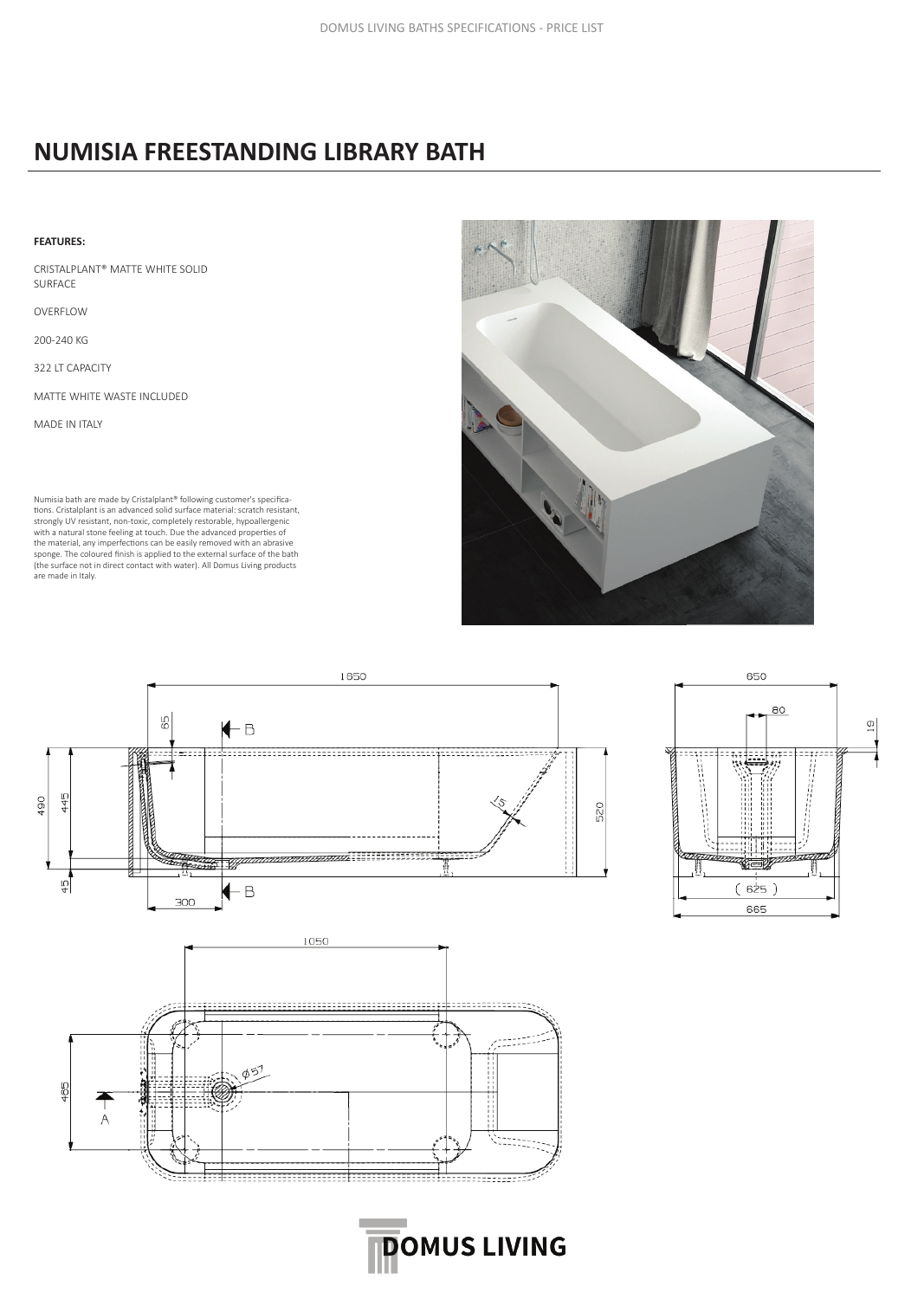## **NUMISIA FREESTANDING LIBRARY BATH**

#### **FEATURES:**

CRISTALPLANT® MATTE WHITE SOLID SURFACE

OVERFLOW

200-240 KG

322 LT CAPACITY

MATTE WHITE WASTE INCLUDED

MADE IN ITALY

Numisia bath are made by Cristalplant® following customer's specifications. Cristalplant is an advanced solid surface material: scratch resistant, strongly UV resistant, non-toxic, completely restorable, hypoallergenic with a natural stone feeling at touch. Due the advanced properties of the material, any imperfections can be easily removed with an abrasive sponge. The coloured finish is applied to the external surface of the bath (the surface not in direct contact with water). All Domus Living products are made in Italy.







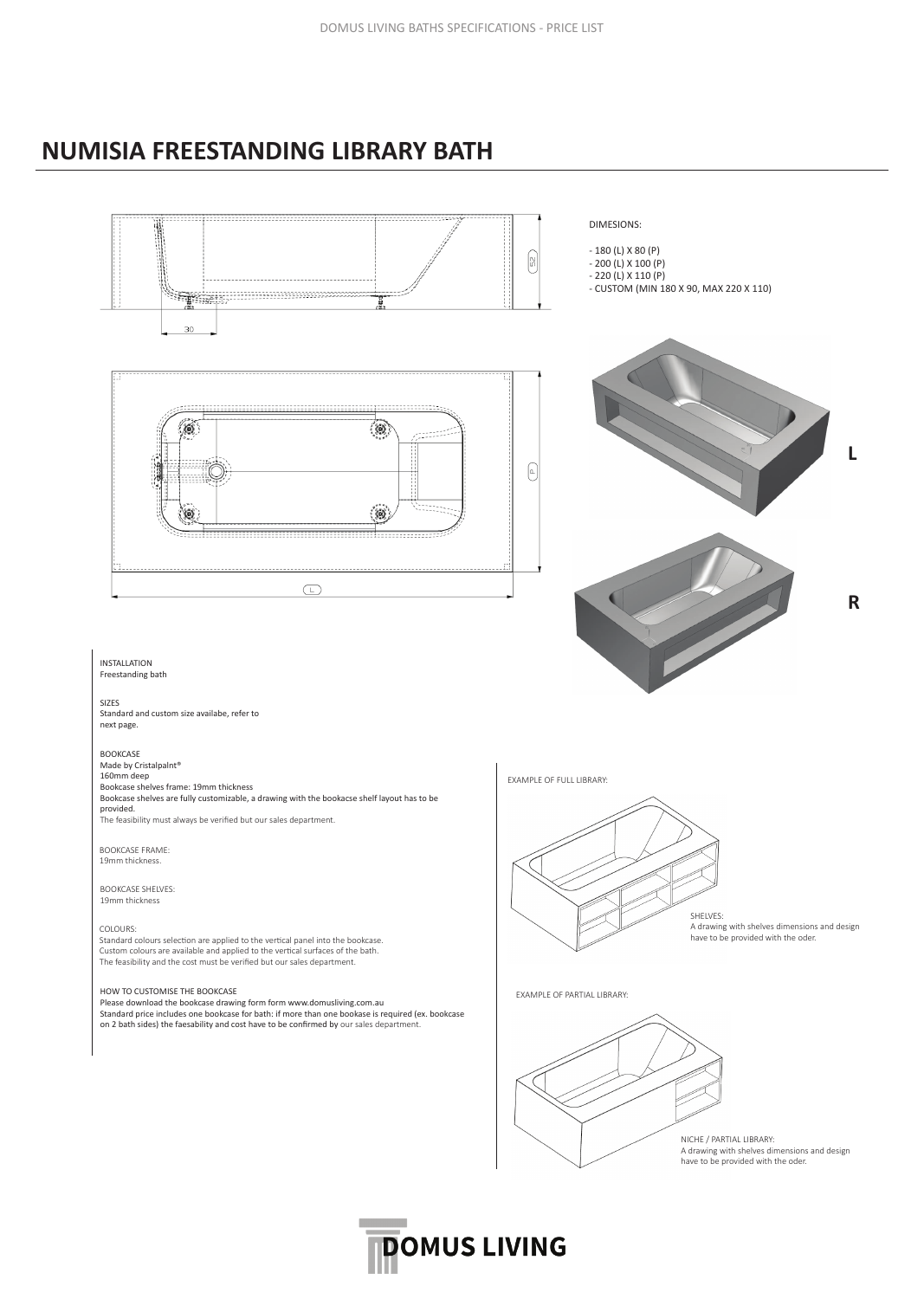### **NUMISIA FREESTANDING LIBRARY BATH**



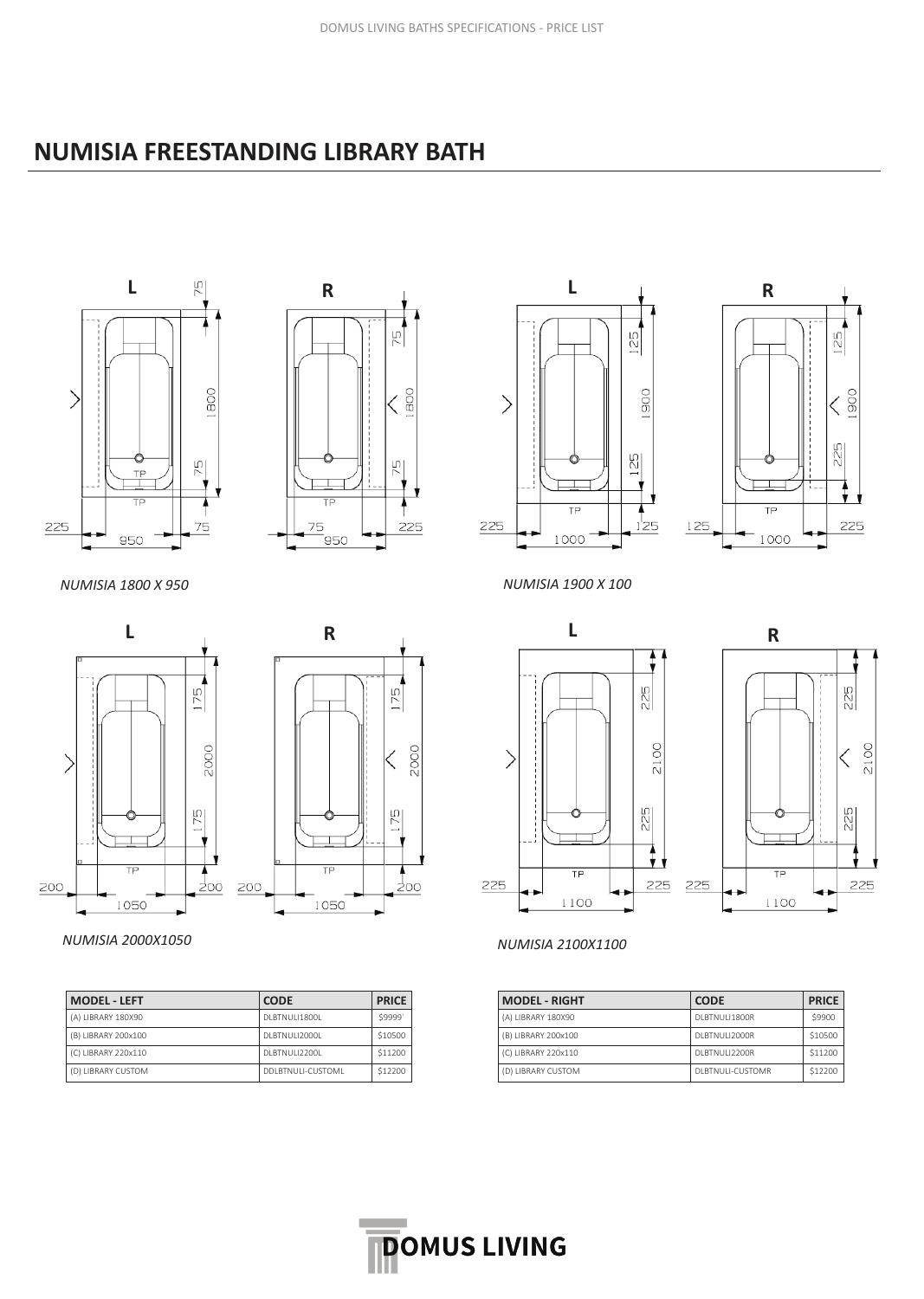## **NUMISIA FREESTANDING LIBRARY BATH**





*NUMISIA 1800 X 950 NUMISIA 1900 X 100*





#### *NUMISIA 2000X1050 NUMISIA 2100X1100*

| <b>MODEL - LEFT</b> | <b>CODE</b>        | <b>PRICE</b> |
|---------------------|--------------------|--------------|
| (A) LIBRARY 180X90  | DI BTNULL1800L     | \$9999'      |
| (B) LIBRARY 200x100 | DI BTNULI2000L     | \$10500      |
| (C) LIBRARY 220x110 | DI BTNULI2200L     | \$11200      |
| (D) LIBRARY CUSTOM  | DDI BTNULL-CUSTOML | \$12200      |









| <b>MODEL - RIGHT</b> | <b>CODE</b>       | <b>PRICE</b> |
|----------------------|-------------------|--------------|
| (A) LIBRARY 180X90   | DI BTNULL1800R    | \$9900       |
| (B) LIBRARY 200x100  | DI BTNULI2000R    | \$10500      |
| (C) LIBRARY 220x110  | DI BTNULI2200R    | \$11200      |
| (D) LIBRARY CUSTOM   | DI BTNULL-CUSTOMR | \$12200      |